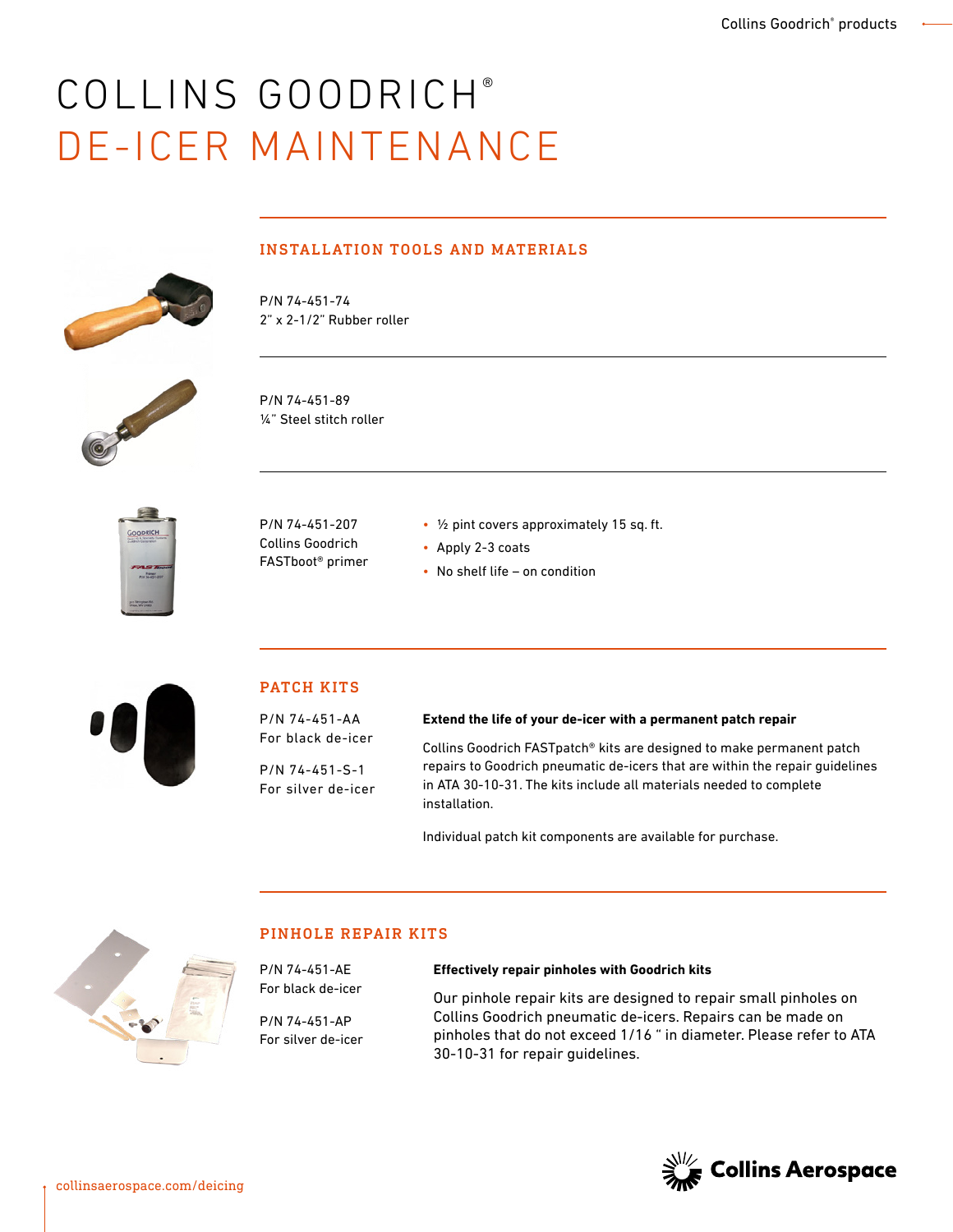## COLLINS GOODRICH® DE-ICER MAINTENANCE



#### INSTALLATION TOOLS AND MATERIALS

P/N 74-451-74 2" x 2-1/2" Rubber roller



P/N 74-451-89 ¼" Steel stitch roller



P/N 74-451-207 Collins Goodrich FASTboot® primer

- ½ pint covers approximately 15 sq. ft.
- Apply 2-3 coats
- No shelf life on condition



#### PATCH KITS

P/N 74-451-AA For black de-icer

P/N 74-451-S-1 For silver de-icer

#### **Extend the life of your de-icer with a permanent patch repair**

Collins Goodrich FASTpatch® kits are designed to make permanent patch repairs to Goodrich pneumatic de-icers that are within the repair guidelines in ATA 30-10-31. The kits include all materials needed to complete installation.

Individual patch kit components are available for purchase.



#### PINHOLE REPAIR KITS

P/N 74-451-AE For black de-icer

P/N 74-451-AP For silver de-icer

#### **Effectively repair pinholes with Goodrich kits**

Our pinhole repair kits are designed to repair small pinholes on Collins Goodrich pneumatic de-icers. Repairs can be made on pinholes that do not exceed 1/16 " in diameter. Please refer to ATA 30-10-31 for repair guidelines.

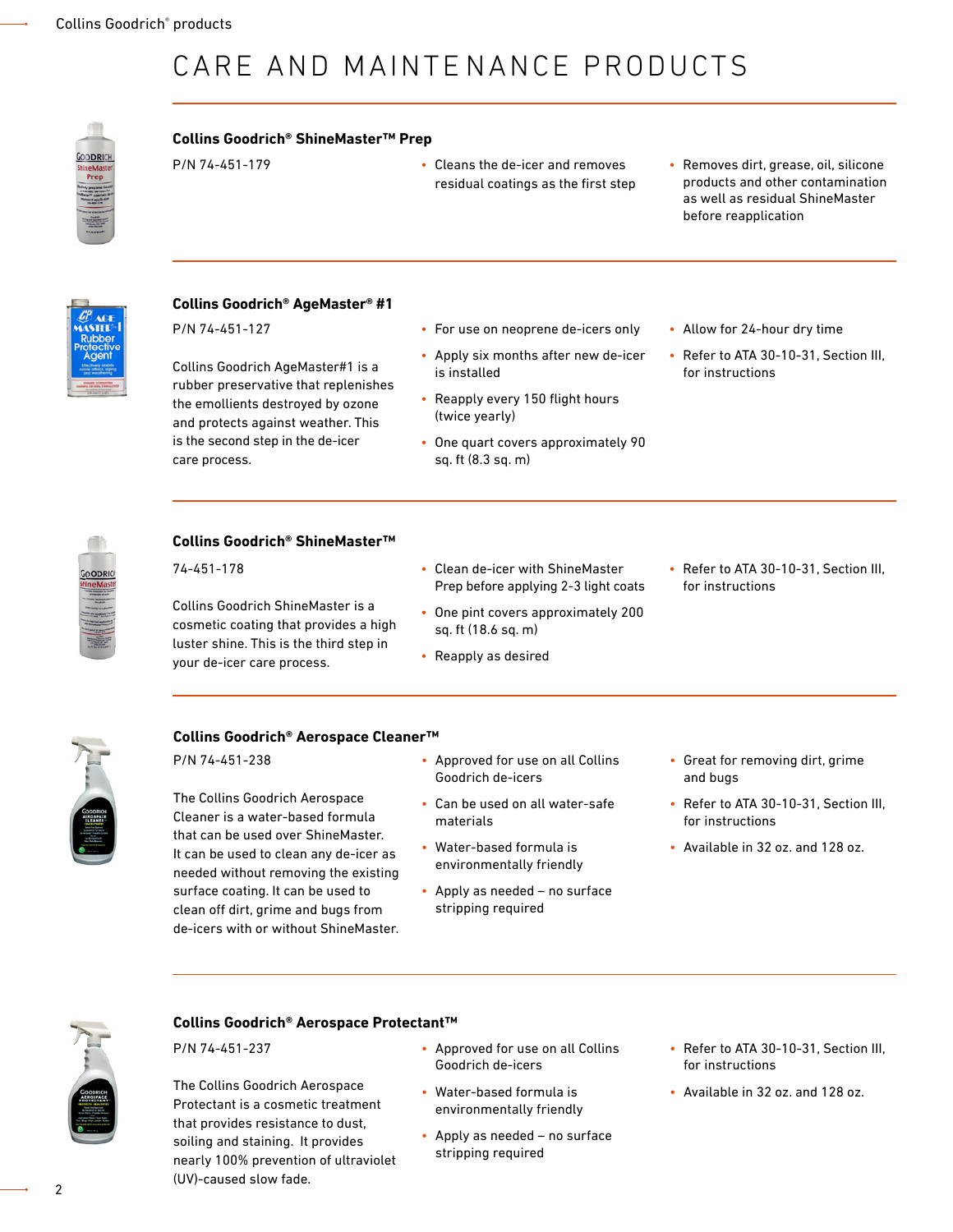## CARE AND MAINTENANCE PRODUCTS

# ODRIC

#### **Collins Goodrich® ShineMaster™ Prep**

- P/N 74-451-179 Cleans the de-icer and removes residual coatings as the first step
- Removes dirt, grease, oil, silicone products and other contamination as well as residual ShineMaster before reapplication



#### **Collins Goodrich® AgeMaster® #1** P/N 74-451-127

Collins Goodrich AgeMaster#1 is a rubber preservative that replenishes the emollients destroyed by ozone and protects against weather. This is the second step in the de-icer care process.

- For use on neoprene de-icers only
- Apply six months after new de-icer is installed • Reapply every 150 flight hours

(twice yearly)

- One quart covers approximately 90 sq. ft (8.3 sq. m)
- Allow for 24-hour dry time
- Refer to ATA 30-10-31, Section III, for instructions

#### **Collins Goodrich® ShineMaster™**

74-451-178

Collins Goodrich ShineMaster is a cosmetic coating that provides a high luster shine. This is the third step in your de-icer care process.

- Clean de-icer with ShineMaster Prep before applying 2-3 light coats
- One pint covers approximately 200 sq. ft (18.6 sq. m)
- Reapply as desired

• Refer to ATA 30-10-31, Section III, for instructions



#### **Collins Goodrich® Aerospace Cleaner™**

P/N 74-451-238

The Collins Goodrich Aerospace Cleaner is a water-based formula that can be used over ShineMaster. It can be used to clean any de-icer as needed without removing the existing surface coating. It can be used to clean off dirt, grime and bugs from de-icers with or without ShineMaster.

- Approved for use on all Collins Goodrich de-icers
- Can be used on all water-safe materials
- Water-based formula is environmentally friendly
- Apply as needed no surface stripping required
- Great for removing dirt, grime and bugs
- Refer to ATA 30-10-31, Section III, for instructions
- Available in 32 oz. and 128 oz.



#### **Collins Goodrich® Aerospace Protectant™**

P/N 74-451-237

The Collins Goodrich Aerospace Protectant is a cosmetic treatment that provides resistance to dust, soiling and staining. It provides nearly 100% prevention of ultraviolet (UV)-caused slow fade.

- Approved for use on all Collins Goodrich de-icers
- Water-based formula is environmentally friendly
- Apply as needed no surface stripping required
- Refer to ATA 30-10-31, Section III, for instructions
- Available in 32 oz. and 128 oz.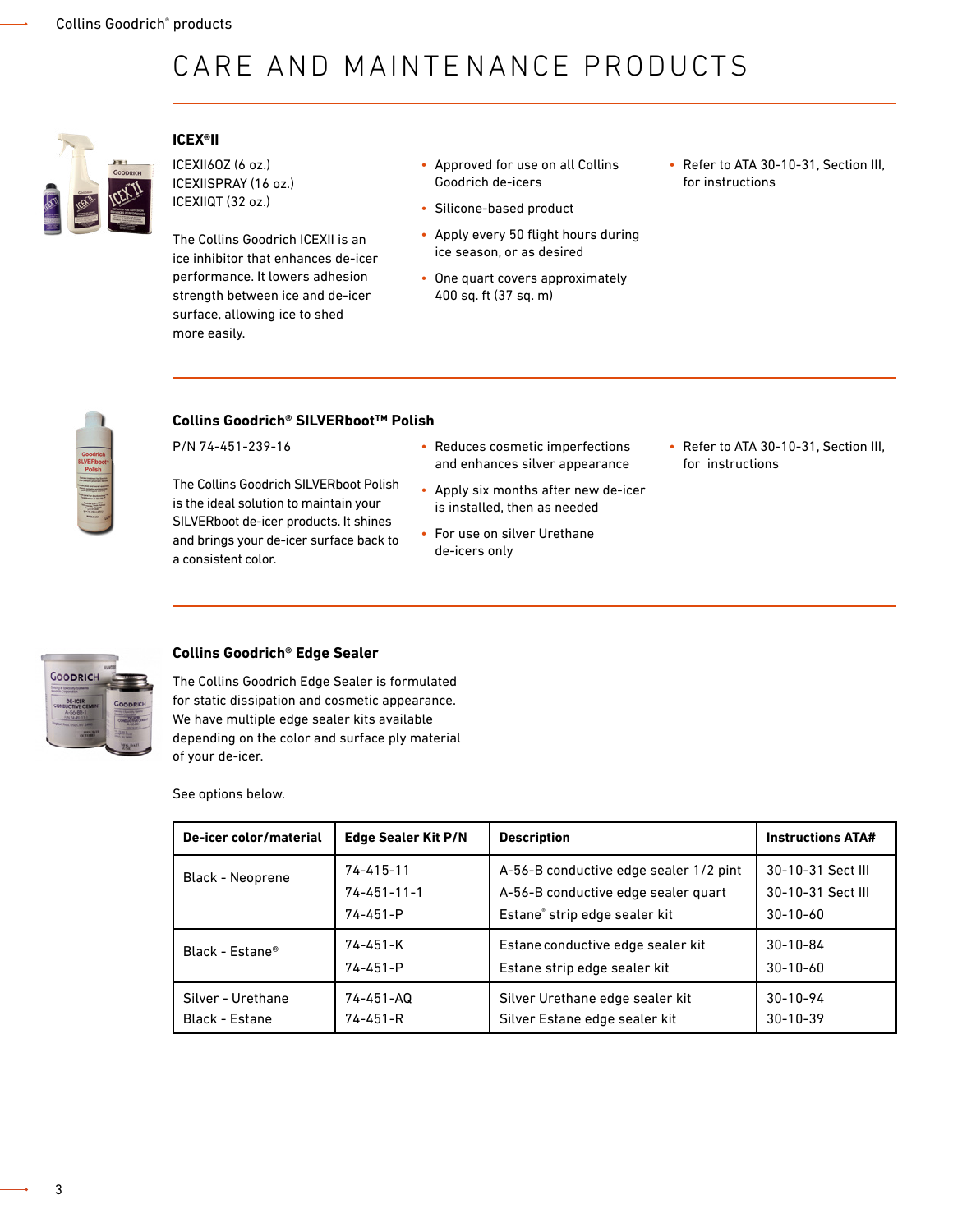## CARE AND MAINTENANCE PRODUCTS



#### **ICEX®II**

ICEXII6OZ (6 oz.) ICEXIISPRAY (16 oz.) ICEXIIQT (32 oz.)

The Collins Goodrich ICEXII is an ice inhibitor that enhances de-icer performance. It lowers adhesion strength between ice and de-icer surface, allowing ice to shed more easily.

- Approved for use on all Collins Goodrich de-icers
- Silicone-based product
- Apply every 50 flight hours during ice season, or as desired
- One quart covers approximately 400 sq. ft (37 sq. m)
- Refer to ATA 30-10-31, Section III, for instructions



#### **Collins Goodrich® SILVERboot™ Polish**

P/N 74-451-239-16

The Collins Goodrich SILVERboot Polish is the ideal solution to maintain your SILVERboot de-icer products. It shines and brings your de-icer surface back to a consistent color.

- Reduces cosmetic imperfections and enhances silver appearance
- Apply six months after new de-icer is installed, then as needed
- For use on silver Urethane de-icers only
- Refer to ATA 30-10-31, Section III, for instructions



#### **Collins Goodrich® Edge Sealer**

The Collins Goodrich Edge Sealer is formulated for static dissipation and cosmetic appearance. We have multiple edge sealer kits available depending on the color and surface ply material of your de-icer.

See options below.

| De-icer color/material      | <b>Edge Sealer Kit P/N</b> | <b>Description</b>                     | <b>Instructions ATA#</b> |
|-----------------------------|----------------------------|----------------------------------------|--------------------------|
| <b>Black - Neoprene</b>     | $74 - 415 - 11$            | A-56-B conductive edge sealer 1/2 pint | 30-10-31 Sect III        |
|                             | $74 - 451 - 11 - 1$        | A-56-B conductive edge sealer quart    | 30-10-31 Sect III        |
|                             | $74 - 451 - P$             | Estane® strip edge sealer kit          | $30 - 10 - 60$           |
| Black - Estane <sup>®</sup> | 74-451-K                   | Estane conductive edge sealer kit      | $30 - 10 - 84$           |
|                             | $74 - 451 - P$             | Estane strip edge sealer kit           | $30 - 10 - 60$           |
| Silver - Urethane           | $74 - 451 - AQ$            | Silver Urethane edge sealer kit        | $30 - 10 - 94$           |
| Black - Estane              | $74 - 451 - R$             | Silver Estane edge sealer kit          | $30 - 10 - 39$           |